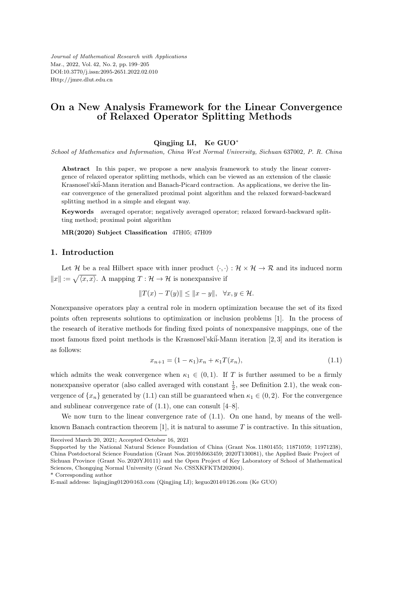*Journal of Mathematical Research with Applications* Mar., 2022, Vol. 42, No. 2, pp. 199–205 DOI:10.3770/j.issn:2095-2651.2022.02.010 Http://jmre.dlut.edu.cn

# **On a New Analysis Framework for the Linear Convergence of Relaxed Operator Splitting Methods**

#### **Qingjing LI, Ke GUO***<sup>∗</sup>*

*School of Mathematics and Information, China West Normal University, Sichuan* 637002*, P. R. China*

**Abstract** In this paper, we propose a new analysis framework to study the linear convergence of relaxed operator splitting methods, which can be viewed as an extension of the classic Krasnosel'ski $\ddot{i}$ -Mann iteration and Banach-Picard contraction. As applications, we derive the linear convergence of the generalized proximal point algorithm and the relaxed forward-backward splitting method in a simple and elegant way.

**Keywords** averaged operator; negatively averaged operator; relaxed forward-backward splitting method; proximal point algorithm

**MR(2020) Subject Classification** 47H05; 47H09

## **1. Introduction**

Let  $\mathcal{H}$  be a real Hilbert space with inner product  $\langle \cdot, \cdot \rangle : \mathcal{H} \times \mathcal{H} \to \mathcal{R}$  and its induced norm  $||x|| := \sqrt{\langle x, x \rangle}$ . A mapping *T* : *H* → *H* is nonexpansive if

$$
||T(x) - T(y)|| \le ||x - y||, \quad \forall x, y \in \mathcal{H}.
$$

Nonexpansive operators play a central role in modern optimization because the set of its fixed points often represents solutions to optimization or inclusion problems [1]. In the process of the research of iterative methods for finding fixed points of nonexpansive mappings, one of the most famous fixed point methods is the Krasnosel'ski $\tilde{i}$ -Mann iteration [2, 3] and its iteration is as follows:

$$
x_{n+1} = (1 - \kappa_1)x_n + \kappa_1 T(x_n), \tag{1.1}
$$

which admits the weak convergence when  $\kappa_1 \in (0,1)$ . If *T* is further assumed to be a firmly nonexpansive operator (also called averaged with constant  $\frac{1}{2}$ , see Definition 2.1), the weak convergence of  $\{x_n\}$  generated by (1.1) can still be guaranteed when  $\kappa_1 \in (0, 2)$ . For the convergence and sublinear convergence rate of  $(1.1)$ , one can consult  $[4-8]$ .

We now turn to the linear convergence rate of  $(1.1)$ . On one hand, by means of the wellknown Banach contraction theorem [1], it is natural to assume *T* is contractive. In this situation,

Received March 20, 2021; Accepted October 16, 2021

Supported by the National Natural Science Foundation of China (Grant Nos. 11801455; 11871059; 11971238), China Postdoctoral Science Foundation (Grant Nos. 2019M663459; 2020T130081), the Applied Basic Project of Sichuan Province (Grant No. 2020YJ0111) and the Open Project of Key Laboratory of School of Mathematical Sciences, Chongqing Normal University (Grant No. CSSXKFKTM202004).

<sup>\*</sup> Corresponding author

E-mail address: liqingjing0120@163.com (Qingjing LI); keguo2014@126.com (Ke GUO)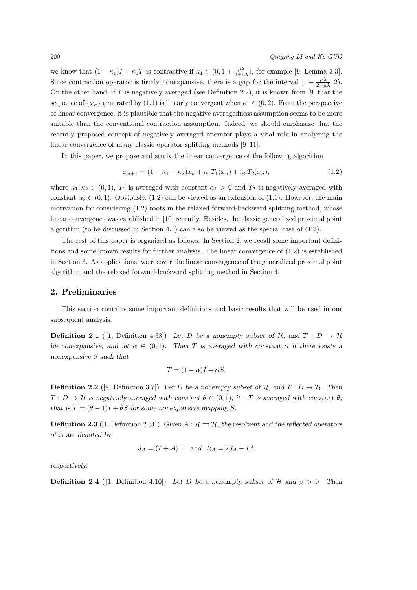we know that  $(1 - \kappa_1)I + \kappa_1 T$  is contractive if  $\kappa_1 \in (0, 1 + \frac{\mu\lambda}{2 + \mu\lambda})$ , for example [9, Lemma 3.3]. Since contraction operator is firmly nonexpansive, there is a gap for the interval  $\left[1+\frac{\mu\lambda}{2+\mu\lambda},2\right)$ . On the other hand, if *T* is negatively averaged (see Definition 2.2), it is known from [9] that the sequence of  $\{x_n\}$  generated by (1.1) is linearly convergent when  $\kappa_1 \in (0, 2)$ . From the perspective of linear convergence, it is plausible that the negative averagedness assumption seems to be more suitable than the conventional contraction assumption. Indeed, we should emphasize that the recently proposed concept of negatively averaged operator plays a vital role in analyzing the linear convergence of many classic operator splitting methods [9–11].

In this paper, we propose and study the linear convergence of the following algorithm

$$
x_{n+1} = (1 - \kappa_1 - \kappa_2)x_n + \kappa_1 T_1(x_n) + \kappa_2 T_2(x_n), \tag{1.2}
$$

where  $\kappa_1, \kappa_2 \in (0, 1)$ ,  $T_1$  is averaged with constant  $\alpha_1 > 0$  and  $T_2$  is negatively averaged with constant  $\alpha_2 \in (0,1)$ . Obviously, (1.2) can be viewed as an extension of (1.1). However, the main motivation for considering (1.2) roots in the relaxed forward-backward splitting method, whose linear convergence was established in [10] recently. Besides, the classic generalized proximal point algorithm (to be discussed in Section 4.1) can also be viewed as the special case of  $(1.2)$ .

The rest of this paper is organized as follows. In Section 2, we recall some important definitions and some known results for further analysis. The linear convergence of (1.2) is established in Section 3. As applications, we recover the linear convergence of the generalized proximal point algorithm and the relaxed forward-backward splitting method in Section 4.

#### **2. Preliminaries**

This section contains some important definitions and basic results that will be used in our subsequent analysis.

**Definition 2.1** ([1, Definition 4.33]) Let *D* be a nonempty subset of  $H$ *, and*  $T: D \rightarrow H$ *be nonexpansive, and let*  $\alpha \in (0,1)$ *. Then T* is averaged with constant  $\alpha$  if there exists a *nonexpansive S such that*

$$
T = (1 - \alpha)I + \alpha S.
$$

**Definition 2.2** ([9, Definition 3.7]) Let *D* be a nonempty subset of  $H$ , and  $T : D \rightarrow H$ . Then  $T: D \to H$  is negatively averaged with constant  $\theta \in (0,1)$ *, if*  $-T$  *is averaged with constant*  $\theta$ *, that is*  $T = (\theta - 1)I + \theta S$  *for some nonexpansive mapping S.* 

**Definition 2.3** ([1, Definition 2.31]) *Given*  $A : \mathcal{H} \rightrightarrows \mathcal{H}$ *, the resolvent and the reflected operators of A are denoted by*

$$
J_A = (I + A)^{-1}
$$
 and  $R_A = 2J_A - Id$ ,

*respectively.*

**Definition 2.4** ([1, Definition 4.10]) Let *D* be a nonempty subset of  $H$  and  $\beta > 0$ . Then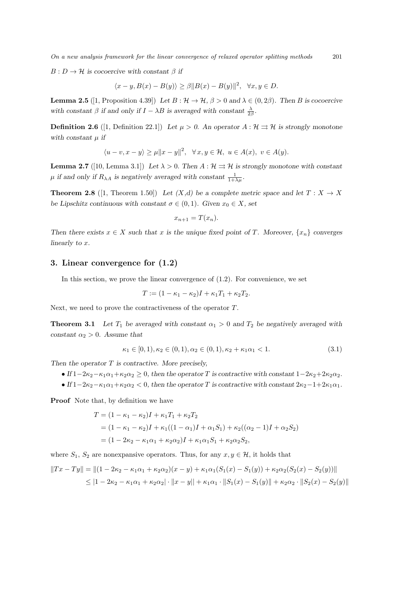*On a new analysis framework for the linear convergence of relaxed operator splitting methods* 201

 $B: D \to \mathcal{H}$  *is cocoercive with constant*  $\beta$  *if* 

$$
\langle x - y, B(x) - B(y) \rangle \ge \beta ||B(x) - B(y)||^2, \quad \forall x, y \in D.
$$

**Lemma 2.5** ([1, Proposition 4.39]) *Let*  $B: \mathcal{H} \to \mathcal{H}$ ,  $\beta > 0$  and  $\lambda \in (0, 2\beta)$ *. Then B* is cocoercive with constant  $\beta$  if and only if  $I - \lambda B$  is averaged with constant  $\frac{\lambda}{2\beta}$ .

**Definition 2.6** ([1, Definition 22.1]) *Let*  $\mu > 0$ . An operator  $A : \mathcal{H} \rightrightarrows \mathcal{H}$  is strongly monotone *with constant µ if*

$$
\langle u-v, x-y \rangle \ge \mu \|x-y\|^2, \quad \forall x, y \in \mathcal{H}, \ u \in A(x), \ v \in A(y).
$$

**Lemma 2.7** ([10, Lemma 3.1]) Let  $\lambda > 0$ . Then  $A : \mathcal{H} \rightrightarrows \mathcal{H}$  is strongly monotone with constant  $\mu$  if and only if  $R_{\lambda A}$  is negatively averaged with constant  $\frac{1}{1+\lambda\mu}$ .

**Theorem 2.8** ([1, Theorem 1.50]) Let  $(X,d)$  be a complete metric space and let  $T: X \to X$ *be Lipschitz continuous with constant*  $\sigma \in (0,1)$ *. Given*  $x_0 \in X$ *, set* 

$$
x_{n+1} = T(x_n).
$$

*Then there exists*  $x \in X$  *such that x is the unique fixed point of T. Moreover,*  $\{x_n\}$  *converges linearly to x.*

#### **3. Linear convergence for (1.2)**

In this section, we prove the linear convergence of  $(1.2)$ . For convenience, we set

$$
T := (1 - \kappa_1 - \kappa_2)I + \kappa_1 T_1 + \kappa_2 T_2.
$$

Next, we need to prove the contractiveness of the operator *T*.

**Theorem 3.1** *Let*  $T_1$  *be averaged with constant*  $\alpha_1 > 0$  *and*  $T_2$  *be negatively averaged with constant*  $\alpha_2 > 0$ *. Assume that* 

$$
\kappa_1 \in [0, 1), \kappa_2 \in (0, 1), \alpha_2 \in (0, 1), \kappa_2 + \kappa_1 \alpha_1 < 1. \tag{3.1}
$$

*Then the operator T is contractive. More precisely,*

- If  $1-2\kappa_2-\kappa_1\alpha_1+\kappa_2\alpha_2 \geq 0$ , then the operator *T* is contractive with constant  $1-2\kappa_2+2\kappa_2\alpha_2$ .
- If  $1-2\kappa_2-\kappa_1\alpha_1+\kappa_2\alpha_2 < 0$ , then the operator *T* is contractive with constant  $2\kappa_2-1+2\kappa_1\alpha_1$ .

**Proof** Note that, by definition we have

$$
T = (1 - \kappa_1 - \kappa_2)I + \kappa_1 T_1 + \kappa_2 T_2
$$
  
=  $(1 - \kappa_1 - \kappa_2)I + \kappa_1((1 - \alpha_1)I + \alpha_1 S_1) + \kappa_2((\alpha_2 - 1)I + \alpha_2 S_2)$   
=  $(1 - 2\kappa_2 - \kappa_1 \alpha_1 + \kappa_2 \alpha_2)I + \kappa_1 \alpha_1 S_1 + \kappa_2 \alpha_2 S_2,$ 

where  $S_1$ ,  $S_2$  are nonexpansive operators. Thus, for any  $x, y \in \mathcal{H}$ , it holds that

$$
||Tx - Ty|| = ||(1 - 2\kappa_2 - \kappa_1\alpha_1 + \kappa_2\alpha_2)(x - y) + \kappa_1\alpha_1(S_1(x) - S_1(y)) + \kappa_2\alpha_2(S_2(x) - S_2(y))||
$$
  
\$\leq |1 - 2\kappa\_2 - \kappa\_1\alpha\_1 + \kappa\_2\alpha\_2| \cdot ||x - y|| + \kappa\_1\alpha\_1 \cdot ||S\_1(x) - S\_1(y)|| + \kappa\_2\alpha\_2 \cdot ||S\_2(x) - S\_2(y)||\$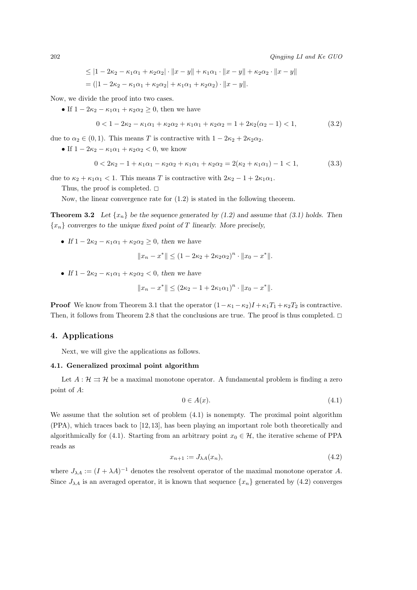$$
\leq |1 - 2\kappa_2 - \kappa_1 \alpha_1 + \kappa_2 \alpha_2| \cdot ||x - y|| + \kappa_1 \alpha_1 \cdot ||x - y|| + \kappa_2 \alpha_2 \cdot ||x - y||
$$
  
= (|1 - 2\kappa\_2 - \kappa\_1 \alpha\_1 + \kappa\_2 \alpha\_2| + \kappa\_1 \alpha\_1 + \kappa\_2 \alpha\_2) \cdot ||x - y||.

Now, we divide the proof into two cases.

• If  $1 - 2\kappa_2 - \kappa_1\alpha_1 + \kappa_2\alpha_2 \geq 0$ , then we have

$$
0 < 1 - 2\kappa_2 - \kappa_1 \alpha_1 + \kappa_2 \alpha_2 + \kappa_1 \alpha_1 + \kappa_2 \alpha_2 = 1 + 2\kappa_2 (\alpha_2 - 1) < 1,
$$
\n(3.2)

due to  $\alpha_2 \in (0,1)$ . This means *T* is contractive with  $1 - 2\kappa_2 + 2\kappa_2\alpha_2$ .

• If  $1 - 2\kappa_2 - \kappa_1 \alpha_1 + \kappa_2 \alpha_2 < 0$ , we know

$$
0 < 2\kappa_2 - 1 + \kappa_1 \alpha_1 - \kappa_2 \alpha_2 + \kappa_1 \alpha_1 + \kappa_2 \alpha_2 = 2(\kappa_2 + \kappa_1 \alpha_1) - 1 < 1,
$$
\n(3.3)

due to  $\kappa_2 + \kappa_1 \alpha_1 < 1$ . This means *T* is contractive with  $2\kappa_2 - 1 + 2\kappa_1 \alpha_1$ .

Thus, the proof is completed.  $\square$ 

Now, the linear convergence rate for (1.2) is stated in the following theorem.

**Theorem 3.2** Let  $\{x_n\}$  be the sequence generated by (1.2) and assume that (3.1) holds. Then *{xn} converges to the unique fixed point of T linearly. More precisely,*

• *If*  $1 - 2\kappa_2 - \kappa_1 \alpha_1 + \kappa_2 \alpha_2 \geq 0$ , then we have

$$
||x_n - x^*|| \le (1 - 2\kappa_2 + 2\kappa_2 \alpha_2)^n \cdot ||x_0 - x^*||.
$$

• *If*  $1 - 2\kappa_2 - \kappa_1\alpha_1 + \kappa_2\alpha_2 < 0$ , then we have

$$
||x_n - x^*|| \le (2\kappa_2 - 1 + 2\kappa_1 \alpha_1)^n \cdot ||x_0 - x^*||.
$$

**Proof** We know from Theorem 3.1 that the operator  $(1 - \kappa_1 - \kappa_2)I + \kappa_1 T_1 + \kappa_2 T_2$  is contractive. Then, it follows from Theorem 2.8 that the conclusions are true. The proof is thus completed.  $\Box$ 

### **4. Applications**

Next, we will give the applications as follows.

#### **4.1. Generalized proximal point algorithm**

Let  $A: \mathcal{H} \rightrightarrows \mathcal{H}$  be a maximal monotone operator. A fundamental problem is finding a zero point of *A*:

$$
0 \in A(x). \tag{4.1}
$$

We assume that the solution set of problem  $(4.1)$  is nonempty. The proximal point algorithm (PPA), which traces back to [12, 13], has been playing an important role both theoretically and algorithmically for (4.1). Starting from an arbitrary point  $x_0 \in \mathcal{H}$ , the iterative scheme of PPA reads as

$$
x_{n+1} := J_{\lambda A}(x_n),\tag{4.2}
$$

where  $J_{\lambda A} := (I + \lambda A)^{-1}$  denotes the resolvent operator of the maximal monotone operator A. Since  $J_{\lambda A}$  is an averaged operator, it is known that sequence  $\{x_n\}$  generated by (4.2) converges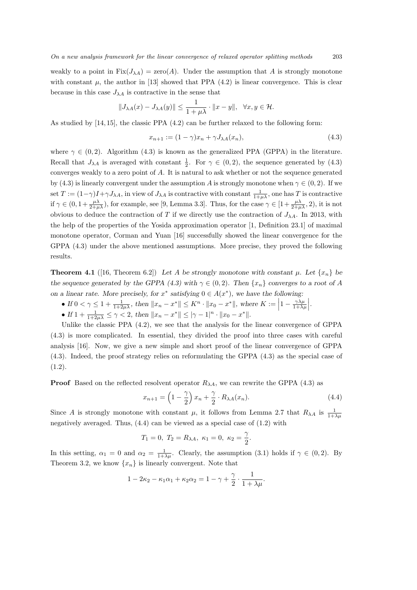weakly to a point in  $Fix(J_{\lambda A}) = zero(A)$ . Under the assumption that *A* is strongly monotone with constant  $\mu$ , the author in [13] showed that PPA  $(4.2)$  is linear convergence. This is clear because in this case  $J_{\lambda A}$  is contractive in the sense that

$$
\|J_{\lambda A}(x)-J_{\lambda A}(y)\|\leq \frac{1}{1+\mu\lambda}\cdot \|x-y\|,\ \ \forall x,y\in\mathcal{H}.
$$

As studied by [14, 15], the classic PPA (4.2) can be further relaxed to the following form:

$$
x_{n+1} := (1 - \gamma)x_n + \gamma J_{\lambda A}(x_n),\tag{4.3}
$$

where  $\gamma \in (0,2)$ . Algorithm (4.3) is known as the generalized PPA (GPPA) in the literature. Recall that  $J_{\lambda A}$  is averaged with constant  $\frac{1}{2}$ . For  $\gamma \in (0, 2)$ , the sequence generated by (4.3) converges weakly to a zero point of *A*. It is natural to ask whether or not the sequence generated by (4.3) is linearly convergent under the assumption *A* is strongly monotone when  $\gamma \in (0, 2)$ . If we set  $T := (1 - \gamma)I + \gamma J_{\lambda A}$ , in view of  $J_{\lambda A}$  is contractive with constant  $\frac{1}{1 + \mu \lambda}$ , one has  $T$  is contractive if  $\gamma \in (0, 1+\frac{\mu\lambda}{2+\mu\lambda})$ , for example, see [9, Lemma 3.3]. Thus, for the case  $\gamma \in [1+\frac{\mu\lambda}{2+\mu\lambda}, 2)$ , it is not obvious to deduce the contraction of *T* if we directly use the contraction of  $J_{\lambda A}$ . In 2013, with the help of the properties of the Yosida approximation operator [1, Definition 23.1] of maximal monotone operator, Corman and Yuan [16] successfully showed the linear convergence for the GPPA (4.3) under the above mentioned assumptions. More precise, they proved the following results.

**Theorem 4.1** ([16, Theorem 6.2]) Let A be strongly monotone with constant  $\mu$ . Let  $\{x_n\}$  be *the sequence generated by the GPPA (4.3) with*  $\gamma \in (0, 2)$ *. Then*  $\{x_n\}$  *converges to a root of A on a linear rate. More precisely, for*  $x^*$  *satisfying*  $0 \in A(x^*)$ *, we have the following:* 

• If 
$$
0 < \gamma \leq 1 + \frac{1}{1+2\mu\lambda}
$$
, then  $||x_n - x^*|| \leq K^n \cdot ||x_0 - x^*||$ , where  $K := \left|1 - \frac{\gamma \lambda \mu}{1 + \lambda \mu}\right|$ .

• If  $1 + \frac{1}{1+2\mu\lambda} \leq \gamma < 2$ , then  $||x_n - x^*|| \leq |\gamma - 1|^n \cdot ||x_0 - x^*||$ .

Unlike the classic PPA  $(4.2)$ , we see that the analysis for the linear convergence of GPPA (4.3) is more complicated. In essential, they divided the proof into three cases with careful analysis [16]. Now, we give a new simple and short proof of the linear convergence of GPPA (4.3). Indeed, the proof strategy relies on reformulating the GPPA (4.3) as the special case of  $(1.2).$ 

**Proof** Based on the reflected resolvent operator  $R_{\lambda A}$ , we can rewrite the GPPA (4.3) as

$$
x_{n+1} = \left(1 - \frac{\gamma}{2}\right)x_n + \frac{\gamma}{2} \cdot R_{\lambda A}(x_n). \tag{4.4}
$$

Since *A* is strongly monotone with constant  $\mu$ , it follows from Lemma 2.7 that  $R_{\lambda A}$  is  $\frac{1}{1+\lambda\mu}$ negatively averaged. Thus,  $(4.4)$  can be viewed as a special case of  $(1.2)$  with

$$
T_1 = 0
$$
,  $T_2 = R_{\lambda A}$ ,  $\kappa_1 = 0$ ,  $\kappa_2 = \frac{\gamma}{2}$ .

In this setting,  $\alpha_1 = 0$  and  $\alpha_2 = \frac{1}{1+\lambda\mu}$ . Clearly, the assumption (3.1) holds if  $\gamma \in (0,2)$ . By Theorem 3.2, we know  $\{x_n\}$  is linearly convergent. Note that

$$
1 - 2\kappa_2 - \kappa_1 \alpha_1 + \kappa_2 \alpha_2 = 1 - \gamma + \frac{\gamma}{2} \cdot \frac{1}{1 + \lambda \mu}.
$$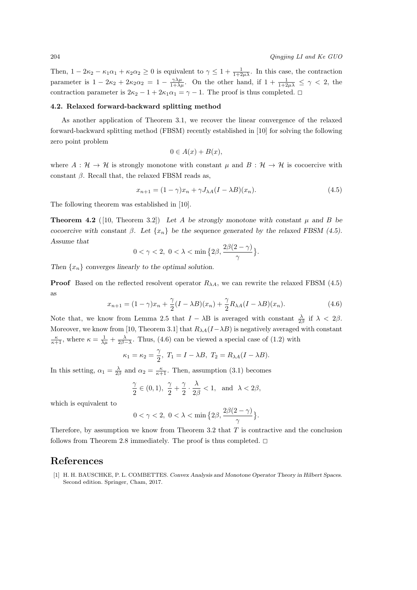Then,  $1 - 2\kappa_2 - \kappa_1\alpha_1 + \kappa_2\alpha_2 \ge 0$  is equivalent to  $\gamma \le 1 + \frac{1}{1+2\mu\lambda}$ . In this case, the contraction parameter is  $1 - 2\kappa_2 + 2\kappa_2\alpha_2 = 1 - \frac{\gamma\lambda\mu}{1+\lambda\mu}$ . On the other hand, if  $1 + \frac{1}{1+2\mu\lambda} \leq \gamma < 2$ , the contraction parameter is  $2\kappa_2 - 1 + 2\kappa_1\alpha_1 = \gamma - 1$ . The proof is thus completed.  $\Box$ 

#### **4.2. Relaxed forward-backward splitting method**

As another application of Theorem 3.1, we recover the linear convergence of the relaxed forward-backward splitting method (FBSM) recently established in [10] for solving the following zero point problem

$$
0 \in A(x) + B(x),
$$

where  $A : \mathcal{H} \to \mathcal{H}$  is strongly monotone with constant  $\mu$  and  $B : \mathcal{H} \to \mathcal{H}$  is cocoercive with constant  $\beta$ . Recall that, the relaxed FBSM reads as,

$$
x_{n+1} = (1 - \gamma)x_n + \gamma J_{\lambda A}(I - \lambda B)(x_n). \tag{4.5}
$$

The following theorem was established in [10].

**Theorem 4.2** ([10, Theorem 3.2]) Let A be strongly monotone with constant  $\mu$  and B be *cocoercive with constant*  $\beta$ *. Let*  $\{x_n\}$  *be the sequence generated by the relaxed FBSM* (4.5). *Assume that*

$$
0<\gamma<2,\,\,0<\lambda<\min\big\{2\beta,\frac{2\beta(2-\gamma)}{\gamma}\big\}.
$$

*Then {xn} converges linearly to the optimal solution.*

**Proof** Based on the reflected resolvent operator  $R_{\lambda A}$ , we can rewrite the relaxed FBSM (4.5) as

$$
x_{n+1} = (1 - \gamma)x_n + \frac{\gamma}{2}(I - \lambda B)(x_n) + \frac{\gamma}{2}R_{\lambda A}(I - \lambda B)(x_n).
$$
 (4.6)

Note that, we know from Lemma 2.5 that  $I - \lambda B$  is averaged with constant  $\frac{\lambda}{2\beta}$  if  $\lambda < 2\beta$ . Moreover, we know from [10, Theorem 3.1] that  $R_{\lambda A}(I-\lambda B)$  is negatively averaged with constant  $\frac{\kappa}{\kappa+1}$ , where  $\kappa = \frac{1}{\lambda\mu} + \frac{\lambda}{2\beta - \lambda}$ . Thus, (4.6) can be viewed a special case of (1.2) with

$$
\kappa_1 = \kappa_2 = \frac{\gamma}{2}, T_1 = I - \lambda B, T_2 = R_{\lambda A}(I - \lambda B).
$$

In this setting,  $\alpha_1 = \frac{\lambda}{2\beta}$  and  $\alpha_2 = \frac{\kappa}{\kappa+1}$ . Then, assumption (3.1) becomes

$$
\frac{\gamma}{2} \in (0, 1), \ \frac{\gamma}{2} + \frac{\gamma}{2} \cdot \frac{\lambda}{2\beta} < 1, \ \text{and} \ \lambda < 2\beta,
$$

which is equivalent to

$$
0<\gamma<2,\ 0<\lambda<\min\big\{2\beta,\frac{2\beta(2-\gamma)}{\gamma}\big\}.
$$

Therefore, by assumption we know from Theorem 3.2 that *T* is contractive and the conclusion follows from Theorem 2.8 immediately. The proof is thus completed.  $\square$ 

## **References**

[1] H. H. BAUSCHKE, P. L. COMBETTES. *Convex Analysis and Monotone Operator Theory in Hilbert Spaces*. Second edition. Springer, Cham, 2017.